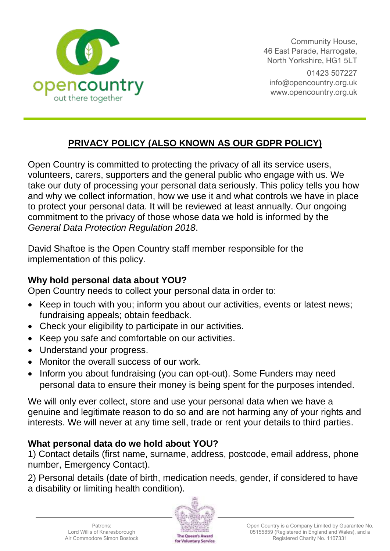

Community House, 46 East Parade, Harrogate, North Yorkshire, HG1 5LT 01423 507227 [info@opencountry.org.uk](mailto:info@opencountry.org.uk) www.opencountry.org.uk

## **PRIVACY POLICY (ALSO KNOWN AS OUR GDPR POLICY)**

Open Country is committed to protecting the privacy of all its service users, volunteers, carers, supporters and the general public who engage with us. We take our duty of processing your personal data seriously. This policy tells you how and why we collect information, how we use it and what controls we have in place to protect your personal data. It will be reviewed at least annually. Our ongoing commitment to the privacy of those whose data we hold is informed by the *General Data Protection Regulation 2018*.

David Shaftoe is the Open Country staff member responsible for the implementation of this policy.

### **Why hold personal data about YOU?**

Open Country needs to collect your personal data in order to:

- Keep in touch with you; inform you about our activities, events or latest news; fundraising appeals; obtain feedback.
- Check your eligibility to participate in our activities.
- Keep you safe and comfortable on our activities.
- Understand your progress.
- Monitor the overall success of our work.
- Inform you about fundraising (you can opt-out). Some Funders may need personal data to ensure their money is being spent for the purposes intended.

We will only ever collect, store and use your personal data when we have a genuine and legitimate reason to do so and are not harming any of your rights and interests. We will never at any time sell, trade or rent your details to third parties.

## **What personal data do we hold about YOU?**

1) Contact details (first name, surname, address, postcode, email address, phone number, Emergency Contact).

2) Personal details (date of birth, medication needs, gender, if considered to have a disability or limiting health condition).

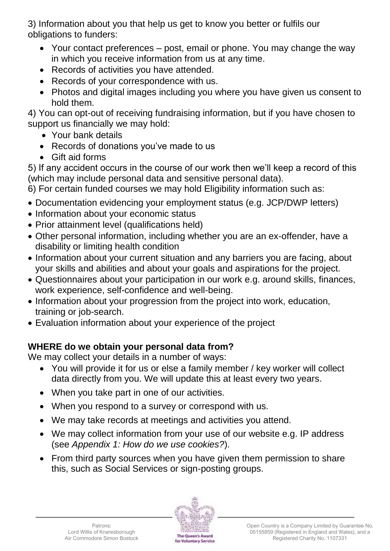3) Information about you that help us get to know you better or fulfils our obligations to funders:

- Your contact preferences post, email or phone. You may change the way in which you receive information from us at any time.
- Records of activities you have attended.
- Records of your correspondence with us.
- Photos and digital images including you where you have given us consent to hold them.

4) You can opt-out of receiving fundraising information, but if you have chosen to support us financially we may hold:

- Your bank details
- Records of donations you've made to us
- Gift aid forms

5) If any accident occurs in the course of our work then we'll keep a record of this (which may include personal data and sensitive personal data).

6) For certain funded courses we may hold Eligibility information such as:

- Documentation evidencing your employment status (e.g. JCP/DWP letters)
- Information about your economic status
- Prior attainment level (qualifications held)
- Other personal information, including whether you are an ex-offender, have a disability or limiting health condition
- Information about your current situation and any barriers you are facing, about your skills and abilities and about your goals and aspirations for the project.
- Questionnaires about your participation in our work e.g. around skills, finances, work experience, self-confidence and well-being.
- Information about your progression from the project into work, education, training or job-search.
- Evaluation information about your experience of the project

# **WHERE do we obtain your personal data from?**

We may collect your details in a number of ways:

- You will provide it for us or else a family member / key worker will collect data directly from you. We will update this at least every two years.
- When you take part in one of our activities.
- When you respond to a survey or correspond with us.
- We may take records at meetings and activities you attend.
- We may collect information from your use of our website e.g. IP address (see *Appendix 1: How do we use cookies?*).
- From third party sources when you have given them permission to share this, such as Social Services or sign-posting groups.

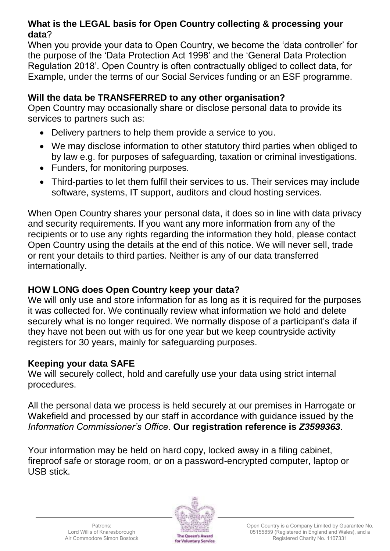## **What is the LEGAL basis for Open Country collecting & processing your data**?

When you provide your data to Open Country, we become the 'data controller' for the purpose of the 'Data Protection Act 1998' and the 'General Data Protection Regulation 2018'. Open Country is often contractually obliged to collect data, for Example, under the terms of our Social Services funding or an ESF programme.

### **Will the data be TRANSFERRED to any other organisation?**

Open Country may occasionally share or disclose personal data to provide its services to partners such as:

- Delivery partners to help them provide a service to you.
- We may disclose information to other statutory third parties when obliged to by law e.g. for purposes of safeguarding, taxation or criminal investigations.
- Funders, for monitoring purposes.
- Third-parties to let them fulfil their services to us. Their services may include software, systems, IT support, auditors and cloud hosting services.

When Open Country shares your personal data, it does so in line with data privacy and security requirements. If you want any more information from any of the recipients or to use any rights regarding the information they hold, please contact Open Country using the details at the end of this notice. We will never sell, trade or rent your details to third parties. Neither is any of our data transferred internationally.

## **HOW LONG does Open Country keep your data?**

We will only use and store information for as long as it is required for the purposes it was collected for. We continually review what information we hold and delete securely what is no longer required. We normally dispose of a participant's data if they have not been out with us for one year but we keep countryside activity registers for 30 years, mainly for safeguarding purposes.

## **Keeping your data SAFE**

We will securely collect, hold and carefully use your data using strict internal procedures.

All the personal data we process is held securely at our premises in Harrogate or Wakefield and processed by our staff in accordance with guidance issued by the *Information Commissioner's Office*. **Our registration reference is** *Z3599363*.

Your information may be held on hard copy, locked away in a filing cabinet, fireproof safe or storage room, or on a password-encrypted computer, laptop or USB stick.

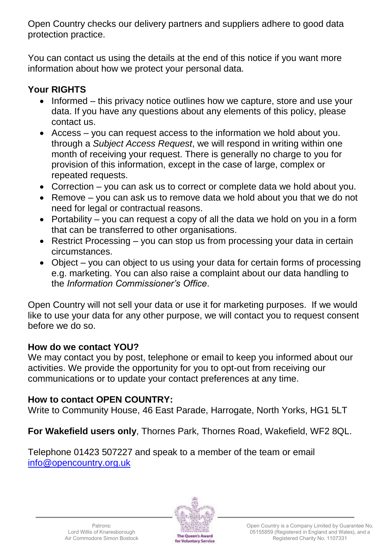Open Country checks our delivery partners and suppliers adhere to good data protection practice.

You can contact us using the details at the end of this notice if you want more information about how we protect your personal data.

## **Your RIGHTS**

- Informed this privacy notice outlines how we capture, store and use your data. If you have any questions about any elements of this policy, please contact us.
- Access you can request access to the information we hold about you. through a *Subject Access Request*, we will respond in writing within one month of receiving your request. There is generally no charge to you for provision of this information, except in the case of large, complex or repeated requests.
- Correction you can ask us to correct or complete data we hold about you.
- Remove you can ask us to remove data we hold about you that we do not need for legal or contractual reasons.
- Portability you can request a copy of all the data we hold on you in a form that can be transferred to other organisations.
- Restrict Processing you can stop us from processing your data in certain circumstances.
- Object you can object to us using your data for certain forms of processing e.g. marketing. You can also raise a complaint about our data handling to the *Information Commissioner's Office*.

Open Country will not sell your data or use it for marketing purposes. If we would like to use your data for any other purpose, we will contact you to request consent before we do so.

## **How do we contact YOU?**

We may contact you by post, telephone or email to keep you informed about our activities. We provide the opportunity for you to opt-out from receiving our communications or to update your contact preferences at any time.

## **How to contact OPEN COUNTRY:**

Write to Community House, 46 East Parade, Harrogate, North Yorks, HG1 5LT

**For Wakefield users only**, Thornes Park, Thornes Road, Wakefield, WF2 8QL.

Telephone 01423 507227 and speak to a member of the team or email [info@opencountry.org.uk](mailto:info@opencountry.org.uk)